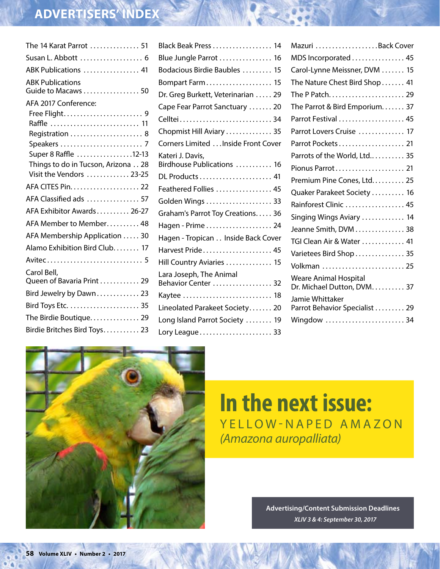## ADVERTISERS' INDEX

| The 14 Karat Parrot  51                        |
|------------------------------------------------|
| Susan L. Abbott  6                             |
| ABK Publications  41                           |
| <b>ABK Publications</b><br>Guide to Macaws  50 |
| AFA 2017 Conference:                           |
|                                                |
| Raffle  11                                     |
| Registration  8                                |
|                                                |
| Super 8 Raffle 12-13                           |
| Things to do in Tucson, Arizona 28             |
| Visit the Vendors  23-25                       |
|                                                |
| AFA Classified ads  57                         |
| AFA Exhibitor Awards 26-27                     |
| AFA Member to Member 48                        |
| AFA Membership Application  30                 |
| Alamo Exhibition Bird Club. 17                 |
|                                                |
| Carol Bell,                                    |
| Queen of Bavaria Print  29                     |
| Bird Jewelry by Dawn 23                        |
|                                                |
| The Birdie Boutique 29                         |
| Birdie Britches Bird Toys 23                   |

| Black Beak Press  14                           |
|------------------------------------------------|
| Blue Jungle Parrot  16                         |
| Bodacious Birdie Baubles  15                   |
| Bompart Farm 15                                |
| Dr. Greg Burkett, Veterinarian  29             |
| Cape Fear Parrot Sanctuary  20                 |
| Celltei34                                      |
| Chopmist Hill Aviary  35                       |
| Corners Limited  Inside Front Cover            |
| Kateri J. Davis,<br>Birdhouse Publications  16 |
|                                                |
| Feathered Follies  45                          |
| Golden Wings  33                               |
| Graham's Parrot Toy Creations 36               |
|                                                |
| Hagen - Tropican Inside Back Cover             |
| Harvest Pride 45                               |
| Hill Country Aviaries  15                      |
| Lara Joseph, The Animal<br>Behavior Center  32 |
|                                                |
| Lineolated Parakeet Society 20                 |
| Long Island Parrot Society  19                 |
| Lory League 33                                 |
|                                                |

| Mazuri Back Cover                                           |
|-------------------------------------------------------------|
| MDS Incorporated  45                                        |
| Carol-Lynne Meissner, DVM 15                                |
| The Nature Chest Bird Shop 41                               |
| The P Patch 29                                              |
| The Parrot & Bird Emporium. 37                              |
| Parrot Festival  45                                         |
| Parrot Lovers Cruise  17                                    |
| Parrot Pockets 21                                           |
| Parrots of the World, Ltd 35                                |
| Pionus Parrot 21                                            |
| Premium Pine Cones, Ltd. 25                                 |
| Quaker Parakeet Society  16                                 |
| Rainforest Clinic  45                                       |
| Singing Wings Aviary  14                                    |
| Jeanne Smith, DVM 38                                        |
| TGI Clean Air & Water  41                                   |
| Varietees Bird Shop  35                                     |
| Volkman  25                                                 |
| <b>Weare Animal Hospital</b><br>Dr. Michael Dutton, DVM. 37 |
| Jamie Whittaker<br>Parrot Behavior Specialist  29           |
| Wingdow  34                                                 |
|                                                             |



## **In the next issue:**  Y ELLOW - N APED A MAZON *(Amazona auropalliata)*

**Advertising/Content Submission Deadlines** *XLIV 3 & 4: September 30, 2017*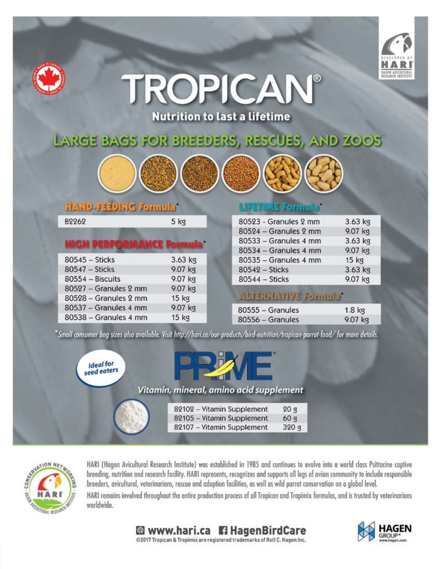



# TROPICAN® **Nutrition to last a lifetime**

### LARGE BAGS FOR BREEDERS, RESCUES, AND ZOOS





### **HAND FEEDING Formula LITETIME Formula** B2262  $5<sub>kg</sub>$ 80523 - Granules 2 mm 3.63 kg 80524 - Granules 2 mm 9.07 kg 80533 - Granules 4 mm 3.63 kg **HIGH PERFORMANCE Formula**  $80534 - Granules$  4 mm 9.07 kg 80545 - Sticks 3.63 kg  $80535 -$  Granules 4 mm 15 kg 80547 - Sticks 9.07 kg 80542 - Sticks 3.63 kg  $80554 - Biscuts$  $80544 - Sticks$ 9.07 kg 9.07 kg 80527 - Granules 2 mm 9.07 kg Atrawariya Jommula 80598 - Granules 9 mm  $15<sub>kg</sub>$  $80537 - Granules$  4 mm 9.07 kg 80555 - Granules  $1.8$  kg  $80538 -$  Granules 4 mm 15 kg 80556 - Granules 9.07 kg \*Small consumer bag sizes also available. Visit http://hari.ca/our-products/bird-nutrition/tropican-parrot-food/ for more details.



| 82107 - Vitamin Supplement | 320g |
|----------------------------|------|
| 82105 - Vitamin Supplement | 60g  |
| 82102 - Vitamin Supplement | 20q  |



**Ideal** for seed eaters

HARI (Hagen Avicultural Research Institute) was established in 1985 and continues to evolve into a world class Psittacine captive breeding, nutrition and research facility. HARI represents, recognizes and supports all legs of avian community to include responsible breeders, avicultural, veterinarians, rescue and adoption facilities, as well as wild parrot conservation on a global level.

HARI remains involved throughout the entire production process of all Tropican and Tropimix formulas, and is trusted by veterinarians worldwide.

> 图 www.hari.ca 【1 HagenBirdCare @2017 Tropican & Tropimix are registered trademarks of Rolf C. Hagen Inc.